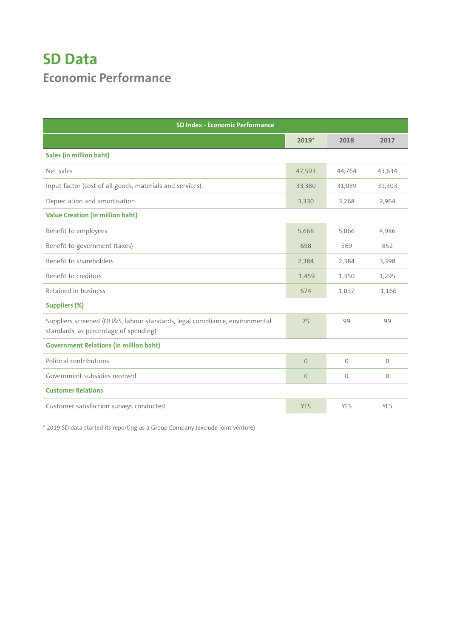## **SD Data Economic Performance**

| SD Index - Economic Performance                                                                                      |            |            |            |  |
|----------------------------------------------------------------------------------------------------------------------|------------|------------|------------|--|
|                                                                                                                      | $2019*$    | 2018       | 2017       |  |
| <b>Sales (in million baht)</b>                                                                                       |            |            |            |  |
| Net sales                                                                                                            | 47,593     | 44,764     | 43,634     |  |
| Input factor (cost of all goods, materials and services)                                                             | 33,380     | 31,089     | 31,303     |  |
| Depreciation and amortisation                                                                                        | 3,330      | 3,268      | 2,964      |  |
| <b>Value Creation (in million baht)</b>                                                                              |            |            |            |  |
| Benefit to employees                                                                                                 | 5,668      | 5,066      | 4,986      |  |
| Benefit to government (taxes)                                                                                        | 698        | 569        | 852        |  |
| Benefit to shareholders                                                                                              | 2,384      | 2,384      | 3,398      |  |
| Benefit to creditors                                                                                                 | 1,459      | 1,350      | 1,295      |  |
| Retained in business                                                                                                 | 674        | 1,037      | $-1,166$   |  |
| <b>Suppliers (%)</b>                                                                                                 |            |            |            |  |
| Suppliers screened (OH&S, labour standards, legal compliance, environmental<br>standards, as percentage of spending) | 75         | 99         | 99         |  |
| <b>Government Relations (in million baht)</b>                                                                        |            |            |            |  |
| Political contributions                                                                                              | $\Omega$   | $\Omega$   | 0          |  |
| Government subsidies received                                                                                        | $\Omega$   | $\Omega$   | $\Omega$   |  |
| <b>Customer Relations</b>                                                                                            |            |            |            |  |
| Customer satisfaction surveys conducted                                                                              | <b>YES</b> | <b>YES</b> | <b>YES</b> |  |

\* 2019 SD data started its reporting as a Group Company (exclude joint venture)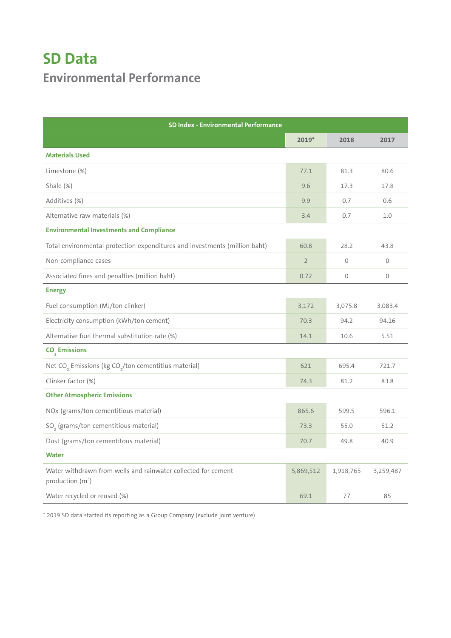## **SD Data Environmental Performance**

| <b>SD Index - Environmental Performance</b>                                                   |                |              |             |
|-----------------------------------------------------------------------------------------------|----------------|--------------|-------------|
|                                                                                               | $2019*$        | 2018         | 2017        |
| <b>Materials Used</b>                                                                         |                |              |             |
| Limestone (%)                                                                                 | 77.1           | 81.3         | 80.6        |
| Shale (%)                                                                                     | 9.6            | 17.3         | 17.8        |
| Additives (%)                                                                                 | 9.9            | 0.7          | 0.6         |
| Alternative raw materials (%)                                                                 | 3.4            | 0.7          | 1.0         |
| <b>Environmental Investments and Compliance</b>                                               |                |              |             |
| Total environmental protection expenditures and investments (million baht)                    | 60.8           | 28.2         | 43.8        |
| Non-compliance cases                                                                          | $\overline{2}$ | $\mathbf{0}$ | 0           |
| Associated fines and penalties (million baht)                                                 | 0.72           | $\mathbf{0}$ | $\mathbf 0$ |
| <b>Energy</b>                                                                                 |                |              |             |
| Fuel consumption (MJ/ton clinker)                                                             | 3,172          | 3,075.8      | 3,083.4     |
| Electricity consumption (kWh/ton cement)                                                      | 70.3           | 94.2         | 94.16       |
| Alternative fuel thermal substitution rate (%)                                                | 14.1           | 10.6         | 5.51        |
| CO <sub>2</sub> Emissions                                                                     |                |              |             |
| Net CO <sub>2</sub> Emissions (kg CO <sub>2</sub> /ton cementitius material)                  | 621            | 695.4        | 721.7       |
| Clinker factor (%)                                                                            | 74.3           | 81.2         | 83.8        |
| <b>Other Atmospheric Emissions</b>                                                            |                |              |             |
| NOx (grams/ton cementitious material)                                                         | 865.6          | 599.5        | 596.1       |
| SO <sub>2</sub> (grams/ton cementitious material)                                             | 73.3           | 55.0         | 51.2        |
| Dust (grams/ton cementitous material)                                                         | 70.7           | 49.8         | 40.9        |
| <b>Water</b>                                                                                  |                |              |             |
| Water withdrawn from wells and rainwater collected for cement<br>production (m <sup>3</sup> ) | 5,869,512      | 1,918,765    | 3,259,487   |
| Water recycled or reused (%)                                                                  | 69.1           | 77           | 85          |

\* 2019 SD data started its reporting as a Group Company (exclude joint venture)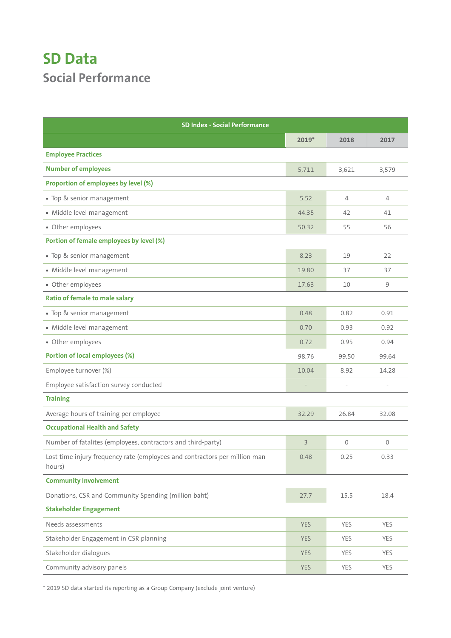## **SD Data Social Performance**

| <b>SD Index - Social Performance</b>                                                  |                |                |                |  |
|---------------------------------------------------------------------------------------|----------------|----------------|----------------|--|
|                                                                                       | $2019*$        | 2018           | 2017           |  |
| <b>Employee Practices</b>                                                             |                |                |                |  |
| <b>Number of employees</b>                                                            | 5,711          | 3,621          | 3,579          |  |
| Proportion of employees by level (%)                                                  |                |                |                |  |
| • Top & senior management                                                             | 5.52           | $\overline{4}$ | $\overline{4}$ |  |
| · Middle level management                                                             | 44.35          | 42             | 41             |  |
| • Other employees                                                                     | 50.32          | 55             | 56             |  |
| Portion of female employees by level (%)                                              |                |                |                |  |
| • Top & senior management                                                             | 8.23           | 19             | 22             |  |
| · Middle level management                                                             | 19.80          | 37             | 37             |  |
| · Other employees                                                                     | 17.63          | 10             | 9              |  |
| <b>Ratio of female to male salary</b>                                                 |                |                |                |  |
| · Top & senior management                                                             | 0.48           | 0.82           | 0.91           |  |
| · Middle level management                                                             | 0.70           | 0.93           | 0.92           |  |
| • Other employees                                                                     | 0.72           | 0.95           | 0.94           |  |
| <b>Portion of local employees (%)</b>                                                 | 98.76          | 99.50          | 99.64          |  |
| Employee turnover (%)                                                                 | 10.04          | 8.92           | 14.28          |  |
| Employee satisfaction survey conducted                                                |                |                |                |  |
| <b>Training</b>                                                                       |                |                |                |  |
| Average hours of training per employee                                                | 32.29          | 26.84          | 32.08          |  |
| <b>Occupational Health and Safety</b>                                                 |                |                |                |  |
| Number of fatalites (employees, contractors and third-party)                          | $\overline{3}$ | 0              | 0              |  |
| Lost time injury frequency rate (employees and contractors per million man-<br>hours) | 0.48           | 0.25           | 0.33           |  |
| <b>Community Involvement</b>                                                          |                |                |                |  |
| Donations, CSR and Community Spending (million baht)                                  | 27.7           | 15.5           | 18.4           |  |
| <b>Stakeholder Engagement</b>                                                         |                |                |                |  |
| Needs assessments                                                                     | <b>YES</b>     | YES            | YES            |  |
| Stakeholder Engagement in CSR planning                                                | <b>YES</b>     | YES            | YES            |  |
| Stakeholder dialogues                                                                 | <b>YES</b>     | YES            | YES            |  |
| Community advisory panels                                                             | <b>YES</b>     | YES            | YES            |  |

\* 2019 SD data started its reporting as a Group Company (exclude joint venture)